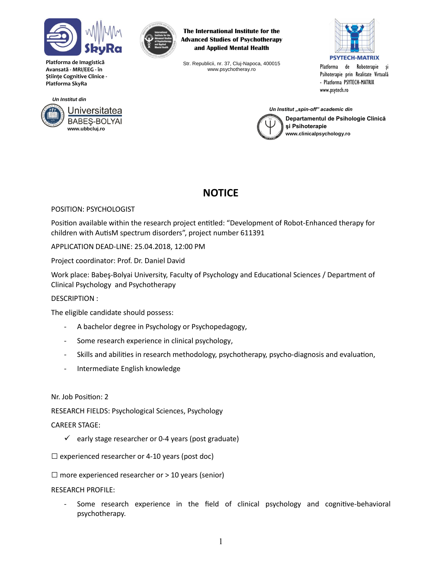

**www.ubbcluj.ro**

Universitatea **BABES-BOLYAI** 

*Un Institut din*

**Platforma de Imagistică Avansată - MRI/EEG - în Ştiinţe Cognitive Clinice - Platforma SkyRa**



**The International Institute for the Advanced Studies of Psychotherapy and Applied Mental Health**

Str. Republicii, nr. 37, Cluj-Napoca, 400015 www.psychotheray.ro



Platforma de Roboterapie şi Psihoterapie prin Realitate Virtuală - Platforma PSYTECH-MATRIX www.psytech.ro

*Un Institut "spin-off" academic din*



# **NOTICE**

## POSITION: PSYCHOLOGIST

Position available within the research project entitled: "Development of Robot-Enhanced therapy for children with AutisM spectrum disorders", project number 611391

#### APPLICATION DEAD-LINE: 25.04.2018, 12:00 PM

Project coordinator: Prof. Dr. Daniel David

Work place: Babeş-Bolyai University, Faculty of Psychology and Educational Sciences / Department of Clinical Psychology and Psychotherapy

#### DESCRIPTION :

The eligible candidate should possess:

- A bachelor degree in Psychology or Psychopedagogy,
- Some research experience in clinical psychology,
- Skills and abilities in research methodology, psychotherapy, psycho-diagnosis and evaluation,
- Intermediate English knowledge

#### Nr. Job Position: 2

RESEARCH FIELDS: Psychological Sciences, Psychology

#### CAREER STAGE:

- $\checkmark$  early stage researcher or 0-4 years (post graduate)
- $\square$  experienced researcher or 4-10 years (post doc)
- $\square$  more experienced researcher or  $> 10$  years (senior)
- RESEARCH PROFILE:
	- Some research experience in the field of clinical psychology and cognitive-behavioral psychotherapy.